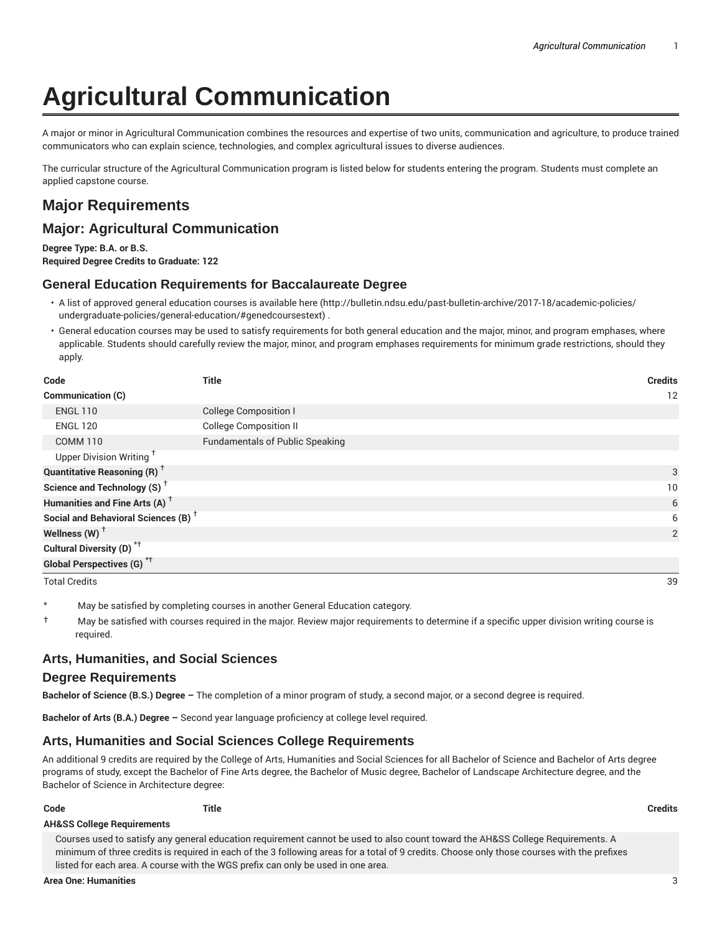# **Agricultural Communication**

A major or minor in Agricultural Communication combines the resources and expertise of two units, communication and agriculture, to produce trained communicators who can explain science, technologies, and complex agricultural issues to diverse audiences.

The curricular structure of the Agricultural Communication program is listed below for students entering the program. Students must complete an applied capstone course.

# **Major Requirements**

## **Major: Agricultural Communication**

**Degree Type: B.A. or B.S. Required Degree Credits to Graduate: 122**

## **General Education Requirements for Baccalaureate Degree**

- A list of approved general education courses is available here (http://bulletin.ndsu.edu/past-bulletin-archive/2017-18/academic-policies/ undergraduate-policies/general-education/#genedcoursestext) .
- General education courses may be used to satisfy requirements for both general education and the major, minor, and program emphases, where applicable. Students should carefully review the major, minor, and program emphases requirements for minimum grade restrictions, should they apply.

| Code                                            | Title                                  | <b>Credits</b> |
|-------------------------------------------------|----------------------------------------|----------------|
| <b>Communication (C)</b>                        |                                        | 12             |
| <b>ENGL 110</b>                                 | <b>College Composition I</b>           |                |
| <b>ENGL 120</b>                                 | <b>College Composition II</b>          |                |
| <b>COMM 110</b>                                 | <b>Fundamentals of Public Speaking</b> |                |
| Upper Division Writing <sup>+</sup>             |                                        |                |
| <b>Quantitative Reasoning (R)</b> <sup>†</sup>  |                                        | 3              |
| Science and Technology (S) <sup>+</sup>         |                                        | 10             |
| Humanities and Fine Arts (A) <sup>+</sup>       |                                        | 6              |
| Social and Behavioral Sciences (B) <sup>+</sup> |                                        | 6              |
| Wellness $(W)$ <sup>+</sup>                     |                                        | 2              |
| Cultural Diversity (D) <sup>*†</sup>            |                                        |                |
| <b>Global Perspectives (G)</b> <sup>*†</sup>    |                                        |                |

Total Credits 39

- May be satisfied by completing courses in another General Education category.
- † May be satisfied with courses required in the major. Review major requirements to determine if a specific upper division writing course is required.

## **Arts, Humanities, and Social Sciences**

#### **Degree Requirements**

**Bachelor of Science (B.S.) Degree –** The completion of a minor program of study, a second major, or a second degree is required.

**Bachelor of Arts (B.A.) Degree –** Second year language proficiency at college level required.

## **Arts, Humanities and Social Sciences College Requirements**

An additional 9 credits are required by the College of Arts, Humanities and Social Sciences for all Bachelor of Science and Bachelor of Arts degree programs of study, except the Bachelor of Fine Arts degree, the Bachelor of Music degree, Bachelor of Landscape Architecture degree, and the Bachelor of Science in Architecture degree:

| Code | <b>Title</b> | <b>Credits</b> |
|------|--------------|----------------|
|      |              |                |

#### **AH&SS College Requirements**

Courses used to satisfy any general education requirement cannot be used to also count toward the AH&SS College Requirements. A minimum of three credits is required in each of the 3 following areas for a total of 9 credits. Choose only those courses with the prefixes listed for each area. A course with the WGS prefix can only be used in one area.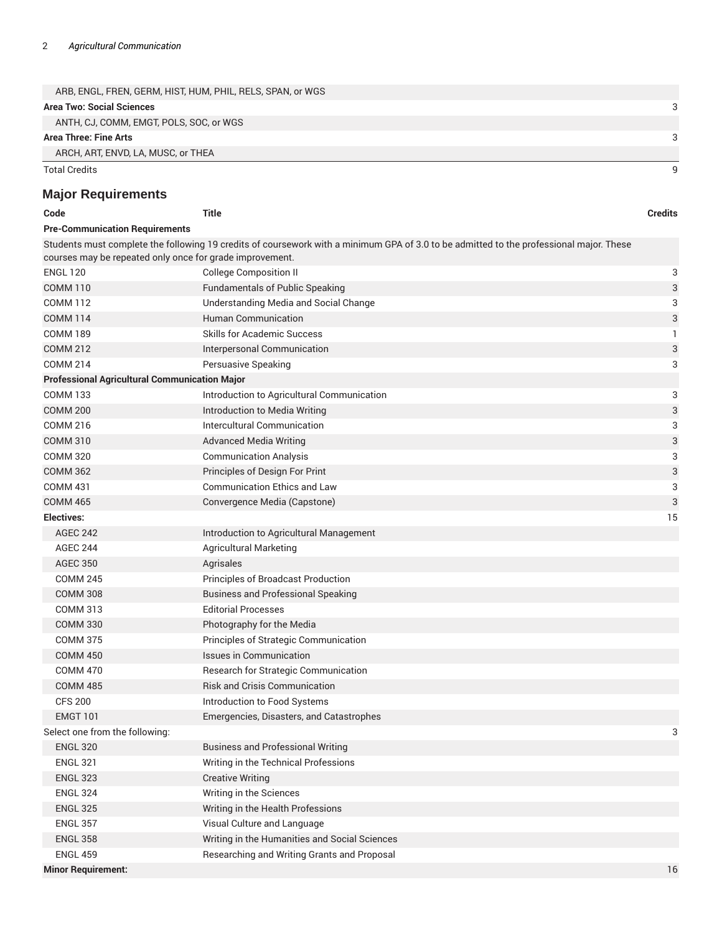| ARB, ENGL, FREN, GERM, HIST, HUM, PHIL, RELS, SPAN, or WGS |  |
|------------------------------------------------------------|--|
| <b>Area Two: Social Sciences</b>                           |  |
| ANTH, CJ, COMM, EMGT, POLS, SOC, or WGS                    |  |
| Area Three: Fine Arts                                      |  |
| ARCH, ART, ENVD, LA, MUSC, or THEA                         |  |
| Total Credits                                              |  |

# **Major Requirements**

| Code                                                     | <b>Title</b>                                                                                                                            | <b>Credits</b> |
|----------------------------------------------------------|-----------------------------------------------------------------------------------------------------------------------------------------|----------------|
| <b>Pre-Communication Requirements</b>                    |                                                                                                                                         |                |
|                                                          | Students must complete the following 19 credits of coursework with a minimum GPA of 3.0 to be admitted to the professional major. These |                |
| courses may be repeated only once for grade improvement. |                                                                                                                                         |                |
| <b>ENGL 120</b>                                          | <b>College Composition II</b>                                                                                                           | 3              |
| <b>COMM 110</b>                                          | <b>Fundamentals of Public Speaking</b>                                                                                                  | 3              |
| <b>COMM 112</b>                                          | Understanding Media and Social Change                                                                                                   | 3              |
| <b>COMM 114</b>                                          | <b>Human Communication</b>                                                                                                              | 3              |
| <b>COMM 189</b>                                          | <b>Skills for Academic Success</b>                                                                                                      | 1              |
| <b>COMM 212</b>                                          | Interpersonal Communication                                                                                                             | 3              |
| <b>COMM 214</b>                                          | Persuasive Speaking                                                                                                                     | 3              |
| <b>Professional Agricultural Communication Major</b>     |                                                                                                                                         |                |
| <b>COMM 133</b>                                          | Introduction to Agricultural Communication                                                                                              | 3              |
| <b>COMM 200</b>                                          | Introduction to Media Writing                                                                                                           | 3              |
| <b>COMM 216</b>                                          | Intercultural Communication                                                                                                             | 3              |
| <b>COMM 310</b>                                          | <b>Advanced Media Writing</b>                                                                                                           | 3              |
| <b>COMM 320</b>                                          | <b>Communication Analysis</b>                                                                                                           | 3              |
| <b>COMM 362</b>                                          | Principles of Design For Print                                                                                                          | 3              |
| <b>COMM 431</b>                                          | <b>Communication Ethics and Law</b>                                                                                                     | 3              |
| <b>COMM 465</b>                                          | Convergence Media (Capstone)                                                                                                            | 3              |
| Electives:                                               |                                                                                                                                         | 15             |
| <b>AGEC 242</b>                                          | Introduction to Agricultural Management                                                                                                 |                |
| <b>AGEC 244</b>                                          | <b>Agricultural Marketing</b>                                                                                                           |                |
| <b>AGEC 350</b>                                          | Agrisales                                                                                                                               |                |
| <b>COMM 245</b>                                          | Principles of Broadcast Production                                                                                                      |                |
| <b>COMM 308</b>                                          | <b>Business and Professional Speaking</b>                                                                                               |                |
| <b>COMM 313</b>                                          | <b>Editorial Processes</b>                                                                                                              |                |
| <b>COMM 330</b>                                          | Photography for the Media                                                                                                               |                |
| <b>COMM 375</b>                                          | Principles of Strategic Communication                                                                                                   |                |
| <b>COMM 450</b>                                          | <b>Issues in Communication</b>                                                                                                          |                |
| <b>COMM 470</b>                                          | Research for Strategic Communication                                                                                                    |                |
| <b>COMM 485</b>                                          | <b>Risk and Crisis Communication</b>                                                                                                    |                |
| <b>CFS 200</b>                                           | Introduction to Food Systems                                                                                                            |                |
| <b>EMGT 101</b>                                          | Emergencies, Disasters, and Catastrophes                                                                                                |                |
| Select one from the following:                           |                                                                                                                                         | 3              |
| <b>ENGL 320</b>                                          | <b>Business and Professional Writing</b>                                                                                                |                |
| <b>ENGL 321</b>                                          | Writing in the Technical Professions                                                                                                    |                |
| <b>ENGL 323</b>                                          | <b>Creative Writing</b>                                                                                                                 |                |
| <b>ENGL 324</b>                                          | Writing in the Sciences                                                                                                                 |                |
| <b>ENGL 325</b>                                          | Writing in the Health Professions                                                                                                       |                |
| <b>ENGL 357</b>                                          | Visual Culture and Language                                                                                                             |                |
| <b>ENGL 358</b>                                          | Writing in the Humanities and Social Sciences                                                                                           |                |
| <b>ENGL 459</b>                                          | Researching and Writing Grants and Proposal                                                                                             |                |
| <b>Minor Requirement:</b>                                |                                                                                                                                         | 16             |